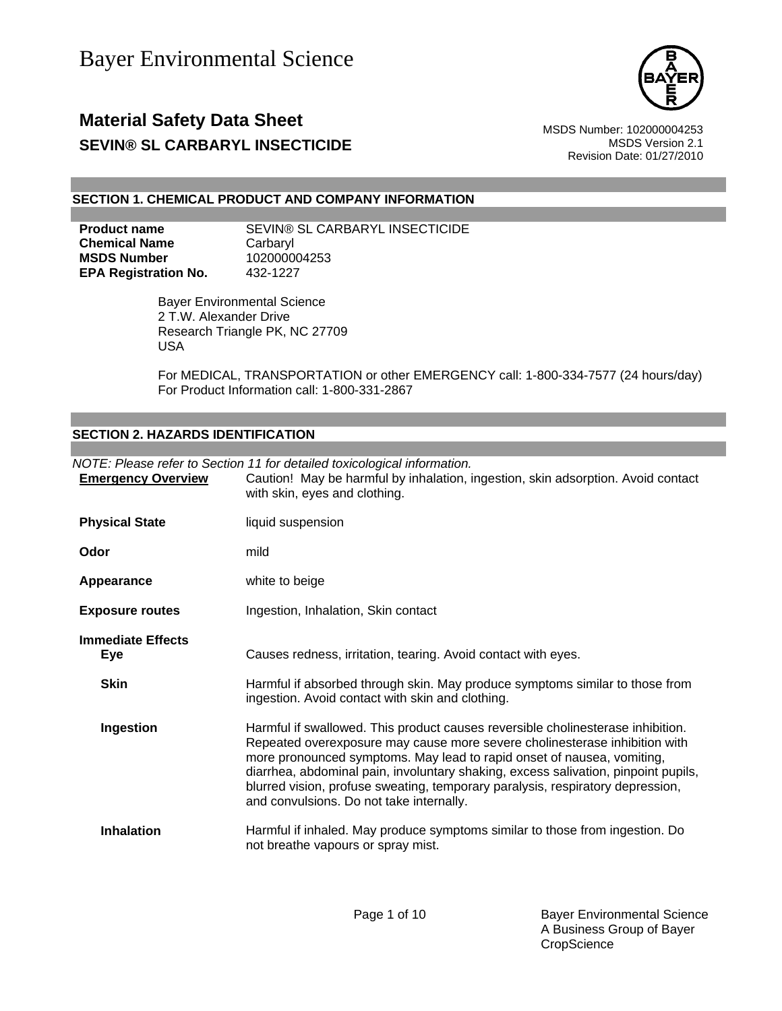

Revision Date: 01/27/2010

### **SECTION 1. CHEMICAL PRODUCT AND COMPANY INFORMATION**

**Product name SEVIN® SL CARBARYL INSECTICIDE Chemical Name** Carbaryl **MSDS Number** 102000004253 **EPA Registration No.** 432-1227

> Bayer Environmental Science 2 T.W. Alexander Drive Research Triangle PK, NC 27709 USA

For MEDICAL, TRANSPORTATION or other EMERGENCY call: 1-800-334-7577 (24 hours/day) For Product Information call: 1-800-331-2867

### **SECTION 2. HAZARDS IDENTIFICATION**

| <b>Emergency Overview</b>              | NOTE: Please refer to Section 11 for detailed toxicological information.<br>Caution! May be harmful by inhalation, ingestion, skin adsorption. Avoid contact<br>with skin, eyes and clothing.                                                                                                                                                                                                                                                               |
|----------------------------------------|-------------------------------------------------------------------------------------------------------------------------------------------------------------------------------------------------------------------------------------------------------------------------------------------------------------------------------------------------------------------------------------------------------------------------------------------------------------|
| <b>Physical State</b>                  | liquid suspension                                                                                                                                                                                                                                                                                                                                                                                                                                           |
| Odor                                   | mild                                                                                                                                                                                                                                                                                                                                                                                                                                                        |
| Appearance                             | white to beige                                                                                                                                                                                                                                                                                                                                                                                                                                              |
| <b>Exposure routes</b>                 | Ingestion, Inhalation, Skin contact                                                                                                                                                                                                                                                                                                                                                                                                                         |
| <b>Immediate Effects</b><br><b>Eye</b> | Causes redness, irritation, tearing. Avoid contact with eyes.                                                                                                                                                                                                                                                                                                                                                                                               |
| <b>Skin</b>                            | Harmful if absorbed through skin. May produce symptoms similar to those from<br>ingestion. Avoid contact with skin and clothing.                                                                                                                                                                                                                                                                                                                            |
| Ingestion                              | Harmful if swallowed. This product causes reversible cholinesterase inhibition.<br>Repeated overexposure may cause more severe cholinesterase inhibition with<br>more pronounced symptoms. May lead to rapid onset of nausea, vomiting,<br>diarrhea, abdominal pain, involuntary shaking, excess salivation, pinpoint pupils,<br>blurred vision, profuse sweating, temporary paralysis, respiratory depression,<br>and convulsions. Do not take internally. |
| <b>Inhalation</b>                      | Harmful if inhaled. May produce symptoms similar to those from ingestion. Do<br>not breathe vapours or spray mist.                                                                                                                                                                                                                                                                                                                                          |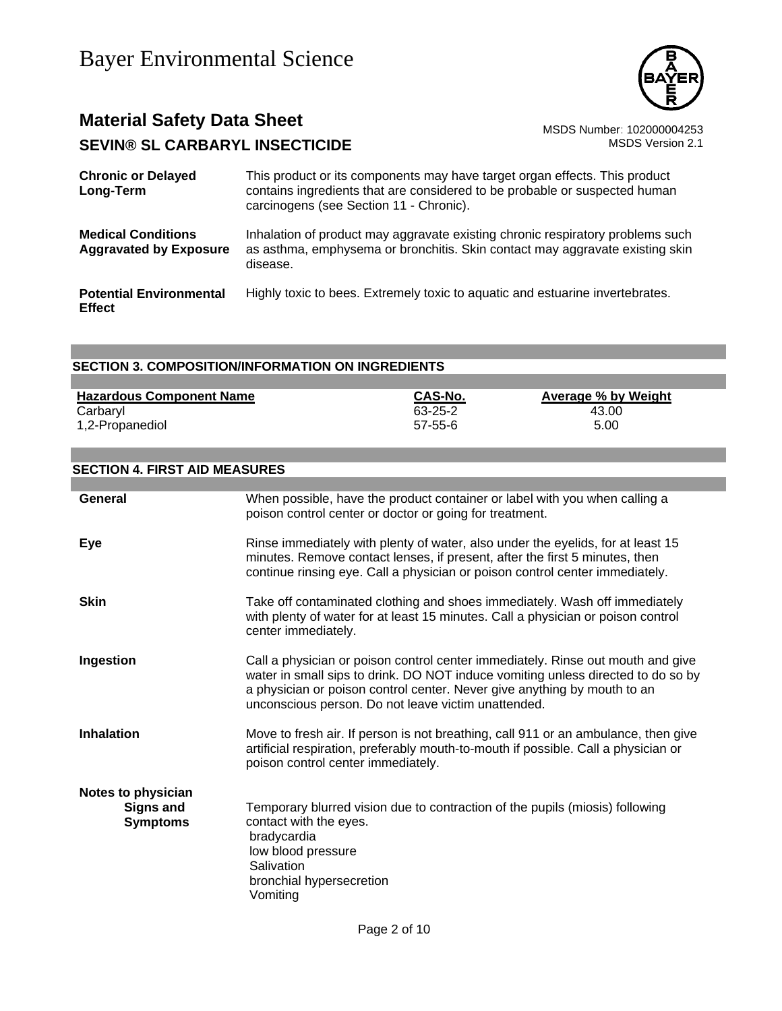

| <b>Chronic or Delayed</b><br>Long-Term                     | This product or its components may have target organ effects. This product<br>contains ingredients that are considered to be probable or suspected human<br>carcinogens (see Section 11 - Chronic). |
|------------------------------------------------------------|-----------------------------------------------------------------------------------------------------------------------------------------------------------------------------------------------------|
| <b>Medical Conditions</b><br><b>Aggravated by Exposure</b> | Inhalation of product may aggravate existing chronic respiratory problems such<br>as asthma, emphysema or bronchitis. Skin contact may aggravate existing skin<br>disease.                          |
| <b>Potential Environmental</b><br><b>Effect</b>            | Highly toxic to bees. Extremely toxic to aquatic and estuarine invertebrates.                                                                                                                       |

### **SECTION 3. COMPOSITION/INFORMATION ON INGREDIENTS**

| <b>Hazardous Component Name</b> | <b>CAS-No.</b> | Average % by Weight |
|---------------------------------|----------------|---------------------|
| Carbaryl                        | 63-25-2        | 43.00               |
| 1,2-Propanediol                 | $57 - 55 - 6$  | 5.00                |

#### **SECTION 4. FIRST AID MEASURES**

| General                                                   | When possible, have the product container or label with you when calling a<br>poison control center or doctor or going for treatment.                                                                                                                                                                  |
|-----------------------------------------------------------|--------------------------------------------------------------------------------------------------------------------------------------------------------------------------------------------------------------------------------------------------------------------------------------------------------|
| Eye                                                       | Rinse immediately with plenty of water, also under the eyelids, for at least 15<br>minutes. Remove contact lenses, if present, after the first 5 minutes, then<br>continue rinsing eye. Call a physician or poison control center immediately.                                                         |
| <b>Skin</b>                                               | Take off contaminated clothing and shoes immediately. Wash off immediately<br>with plenty of water for at least 15 minutes. Call a physician or poison control<br>center immediately.                                                                                                                  |
| Ingestion                                                 | Call a physician or poison control center immediately. Rinse out mouth and give<br>water in small sips to drink. DO NOT induce vomiting unless directed to do so by<br>a physician or poison control center. Never give anything by mouth to an<br>unconscious person. Do not leave victim unattended. |
| <b>Inhalation</b>                                         | Move to fresh air. If person is not breathing, call 911 or an ambulance, then give<br>artificial respiration, preferably mouth-to-mouth if possible. Call a physician or<br>poison control center immediately.                                                                                         |
| Notes to physician<br><b>Signs and</b><br><b>Symptoms</b> | Temporary blurred vision due to contraction of the pupils (miosis) following<br>contact with the eyes.<br>bradycardia<br>low blood pressure<br>Salivation<br>bronchial hypersecretion<br>Vomiting                                                                                                      |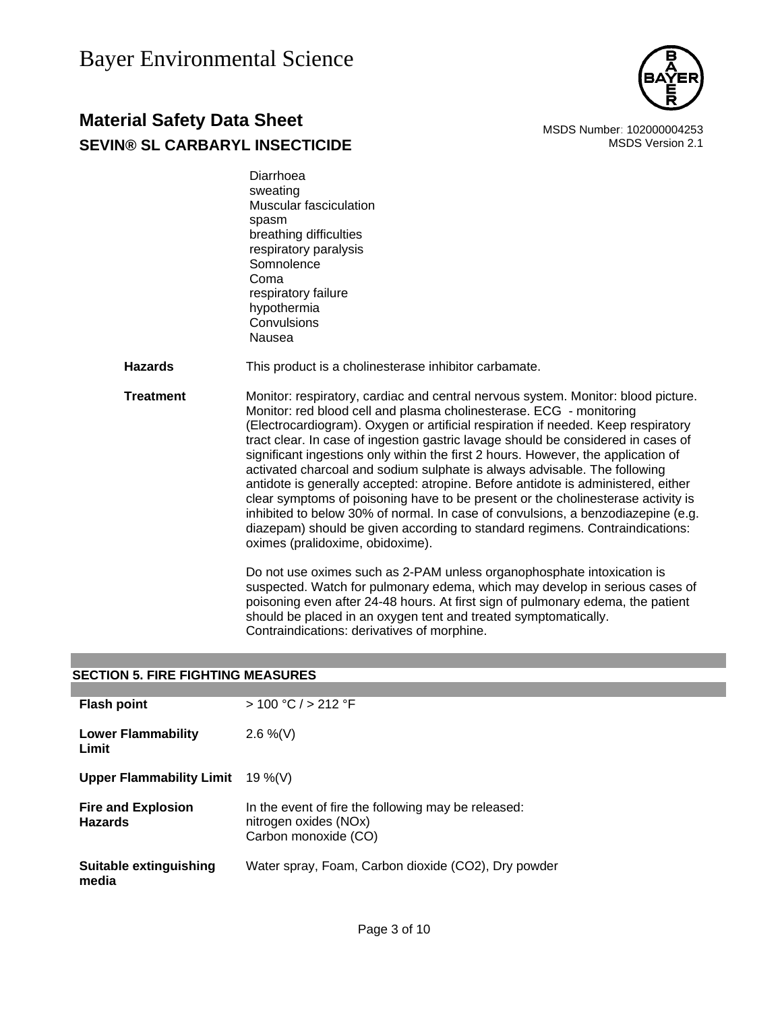

### **Material Safety Data Sheet** Material Safety Data Sheet MSDS Number: 102000004253 **SEVIN® SL CARBARYL INSECTICIDE MSDS** Version 2.1

 Diarrhoea sweating Muscular fasciculation spasm breathing difficulties respiratory paralysis **Somnolence**  Coma respiratory failure hypothermia **Convulsions** Nausea

**Hazards** This product is a cholinesterase inhibitor carbamate.

**Treatment** Monitor: respiratory, cardiac and central nervous system. Monitor: blood picture. Monitor: red blood cell and plasma cholinesterase. ECG - monitoring (Electrocardiogram). Oxygen or artificial respiration if needed. Keep respiratory tract clear. In case of ingestion gastric lavage should be considered in cases of significant ingestions only within the first 2 hours. However, the application of activated charcoal and sodium sulphate is always advisable. The following antidote is generally accepted: atropine. Before antidote is administered, either clear symptoms of poisoning have to be present or the cholinesterase activity is inhibited to below 30% of normal. In case of convulsions, a benzodiazepine (e.g. diazepam) should be given according to standard regimens. Contraindications: oximes (pralidoxime, obidoxime).

> Do not use oximes such as 2-PAM unless organophosphate intoxication is suspected. Watch for pulmonary edema, which may develop in serious cases of poisoning even after 24-48 hours. At first sign of pulmonary edema, the patient should be placed in an oxygen tent and treated symptomatically. Contraindications: derivatives of morphine.

### **SECTION 5. FIRE FIGHTING MEASURES**

| <b>Flash point</b>                          | > 100 °C / > 212 °F                                                                                  |
|---------------------------------------------|------------------------------------------------------------------------------------------------------|
| Lower Flammability<br>Limit                 | $2.6\%$ (V)                                                                                          |
| Upper Flammability Limit $19\%$ (V)         |                                                                                                      |
| <b>Fire and Explosion</b><br><b>Hazards</b> | In the event of fire the following may be released:<br>nitrogen oxides (NOx)<br>Carbon monoxide (CO) |
| Suitable extinguishing<br>media             | Water spray, Foam, Carbon dioxide (CO2), Dry powder                                                  |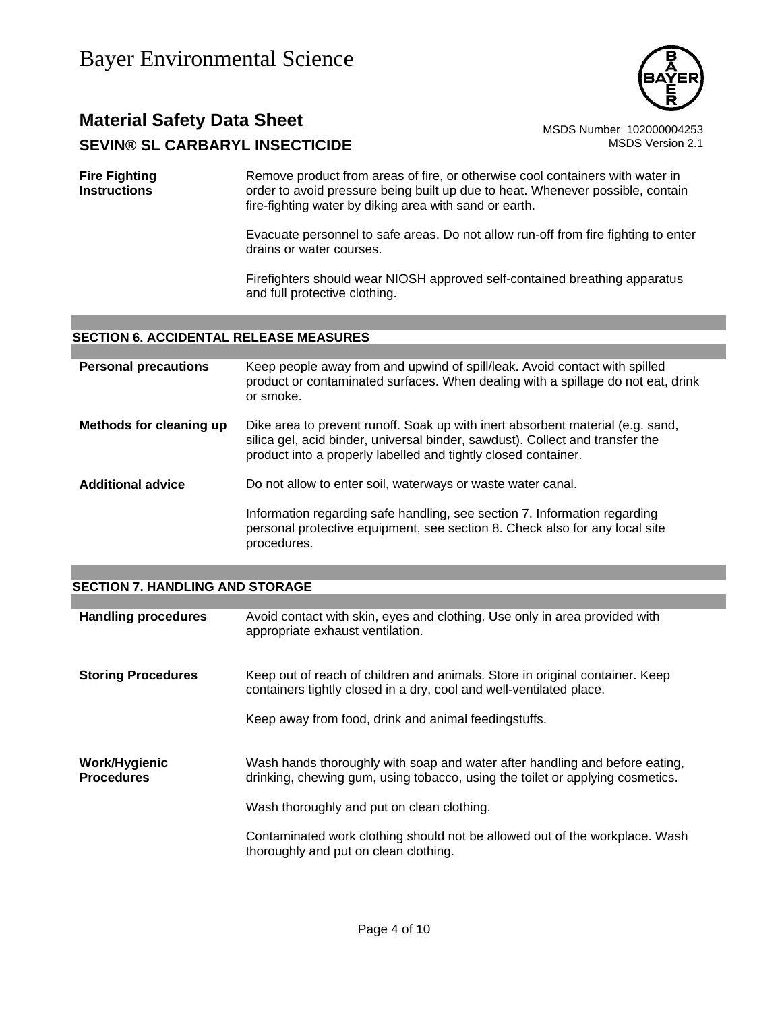

**Fire Fighting Instructions** Remove product from areas of fire, or otherwise cool containers with water in order to avoid pressure being built up due to heat. Whenever possible, contain fire-fighting water by diking area with sand or earth.

> Evacuate personnel to safe areas. Do not allow run-off from fire fighting to enter drains or water courses.

Firefighters should wear NIOSH approved self-contained breathing apparatus and full protective clothing.

### **SECTION 6. ACCIDENTAL RELEASE MEASURES**

| <b>Personal precautions</b> | Keep people away from and upwind of spill/leak. Avoid contact with spilled<br>product or contaminated surfaces. When dealing with a spillage do not eat, drink<br>or smoke.                                                       |
|-----------------------------|-----------------------------------------------------------------------------------------------------------------------------------------------------------------------------------------------------------------------------------|
| Methods for cleaning up     | Dike area to prevent runoff. Soak up with inert absorbent material (e.g. sand,<br>silica gel, acid binder, universal binder, sawdust). Collect and transfer the<br>product into a properly labelled and tightly closed container. |
| <b>Additional advice</b>    | Do not allow to enter soil, waterways or waste water canal.                                                                                                                                                                       |
|                             | Information regarding safe handling, see section 7. Information regarding<br>personal protective equipment, see section 8. Check also for any local site<br>procedures.                                                           |

#### **SECTION 7. HANDLING AND STORAGE**

| <b>Handling procedures</b>         | Avoid contact with skin, eyes and clothing. Use only in area provided with<br>appropriate exhaust ventilation.                                               |
|------------------------------------|--------------------------------------------------------------------------------------------------------------------------------------------------------------|
| <b>Storing Procedures</b>          | Keep out of reach of children and animals. Store in original container. Keep<br>containers tightly closed in a dry, cool and well-ventilated place.          |
|                                    | Keep away from food, drink and animal feedingstuffs.                                                                                                         |
| Work/Hygienic<br><b>Procedures</b> | Wash hands thoroughly with soap and water after handling and before eating,<br>drinking, chewing gum, using tobacco, using the toilet or applying cosmetics. |
|                                    | Wash thoroughly and put on clean clothing.                                                                                                                   |
|                                    | Contaminated work clothing should not be allowed out of the workplace. Wash<br>thoroughly and put on clean clothing.                                         |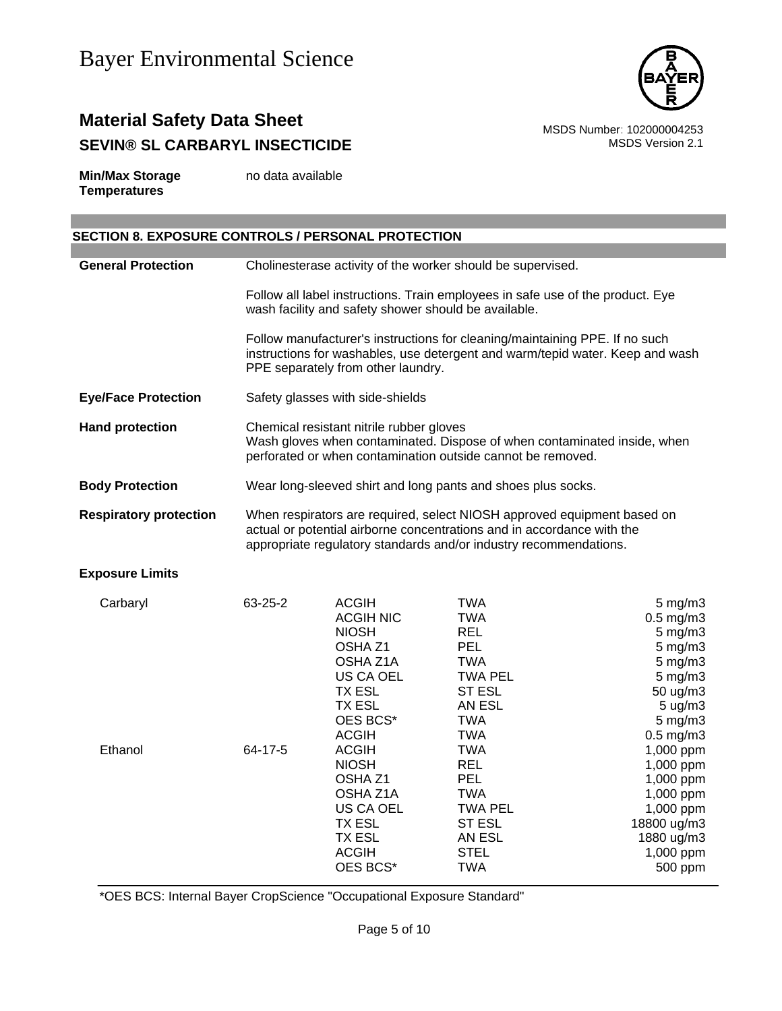

**Min/Max Storage Temperatures** no data available

### **SECTION 8. EXPOSURE CONTROLS / PERSONAL PROTECTION**

| <b>General Protection</b>     | Cholinesterase activity of the worker should be supervised.                                                                                                                                                            |                                                                                                                                                                                                                                                                                                                   |                                                                                                                                                                                                                                                                        |                                                                                                                                                                                                                                                                               |
|-------------------------------|------------------------------------------------------------------------------------------------------------------------------------------------------------------------------------------------------------------------|-------------------------------------------------------------------------------------------------------------------------------------------------------------------------------------------------------------------------------------------------------------------------------------------------------------------|------------------------------------------------------------------------------------------------------------------------------------------------------------------------------------------------------------------------------------------------------------------------|-------------------------------------------------------------------------------------------------------------------------------------------------------------------------------------------------------------------------------------------------------------------------------|
|                               | Follow all label instructions. Train employees in safe use of the product. Eye<br>wash facility and safety shower should be available.                                                                                 |                                                                                                                                                                                                                                                                                                                   |                                                                                                                                                                                                                                                                        |                                                                                                                                                                                                                                                                               |
|                               | Follow manufacturer's instructions for cleaning/maintaining PPE. If no such<br>instructions for washables, use detergent and warm/tepid water. Keep and wash<br>PPE separately from other laundry.                     |                                                                                                                                                                                                                                                                                                                   |                                                                                                                                                                                                                                                                        |                                                                                                                                                                                                                                                                               |
| <b>Eye/Face Protection</b>    | Safety glasses with side-shields                                                                                                                                                                                       |                                                                                                                                                                                                                                                                                                                   |                                                                                                                                                                                                                                                                        |                                                                                                                                                                                                                                                                               |
| <b>Hand protection</b>        | Chemical resistant nitrile rubber gloves<br>Wash gloves when contaminated. Dispose of when contaminated inside, when<br>perforated or when contamination outside cannot be removed.                                    |                                                                                                                                                                                                                                                                                                                   |                                                                                                                                                                                                                                                                        |                                                                                                                                                                                                                                                                               |
| <b>Body Protection</b>        | Wear long-sleeved shirt and long pants and shoes plus socks.                                                                                                                                                           |                                                                                                                                                                                                                                                                                                                   |                                                                                                                                                                                                                                                                        |                                                                                                                                                                                                                                                                               |
| <b>Respiratory protection</b> | When respirators are required, select NIOSH approved equipment based on<br>actual or potential airborne concentrations and in accordance with the<br>appropriate regulatory standards and/or industry recommendations. |                                                                                                                                                                                                                                                                                                                   |                                                                                                                                                                                                                                                                        |                                                                                                                                                                                                                                                                               |
| <b>Exposure Limits</b>        |                                                                                                                                                                                                                        |                                                                                                                                                                                                                                                                                                                   |                                                                                                                                                                                                                                                                        |                                                                                                                                                                                                                                                                               |
| Carbaryl<br>Ethanol           | 63-25-2<br>64-17-5                                                                                                                                                                                                     | <b>ACGIH</b><br><b>ACGIH NIC</b><br><b>NIOSH</b><br>OSHA <sub>Z1</sub><br>OSHA Z1A<br><b>US CA OEL</b><br><b>TX ESL</b><br><b>TX ESL</b><br>OES BCS*<br><b>ACGIH</b><br><b>ACGIH</b><br><b>NIOSH</b><br>OSHA <sub>Z1</sub><br>OSHA Z1A<br>US CA OEL<br><b>TX ESL</b><br><b>TX ESL</b><br><b>ACGIH</b><br>OES BCS* | <b>TWA</b><br><b>TWA</b><br><b>REL</b><br><b>PEL</b><br><b>TWA</b><br><b>TWA PEL</b><br><b>ST ESL</b><br>AN ESL<br><b>TWA</b><br><b>TWA</b><br><b>TWA</b><br><b>REL</b><br>PEL<br><b>TWA</b><br><b>TWA PEL</b><br><b>ST ESL</b><br>AN ESL<br><b>STEL</b><br><b>TWA</b> | $5$ mg/m $3$<br>$0.5$ mg/m $3$<br>$5$ mg/m $3$<br>$5$ mg/m $3$<br>$5$ mg/m $3$<br>$5$ mg/m $3$<br>50 ug/m3<br>5 ug/m3<br>$5$ mg/m $3$<br>$0.5$ mg/m $3$<br>1,000 ppm<br>1,000 ppm<br>1,000 ppm<br>1,000 ppm<br>1,000 ppm<br>18800 ug/m3<br>1880 ug/m3<br>1,000 ppm<br>500 ppm |

\*OES BCS: Internal Bayer CropScience "Occupational Exposure Standard"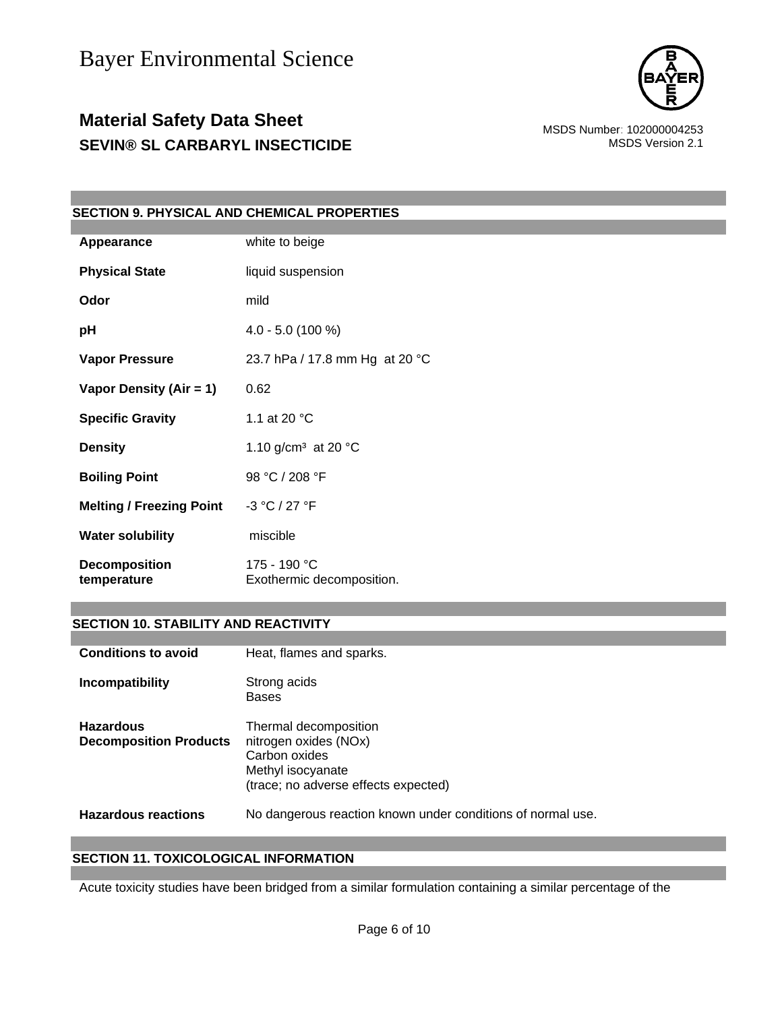

| <b>SECTION 9. PHYSICAL AND CHEMICAL PROPERTIES</b> |                                           |  |  |
|----------------------------------------------------|-------------------------------------------|--|--|
|                                                    |                                           |  |  |
| Appearance                                         | white to beige                            |  |  |
| <b>Physical State</b>                              | liquid suspension                         |  |  |
| Odor                                               | mild                                      |  |  |
| pH                                                 | $4.0 - 5.0$ (100 %)                       |  |  |
| <b>Vapor Pressure</b>                              | 23.7 hPa / 17.8 mm Hg at 20 °C            |  |  |
| Vapor Density (Air = 1)                            | 0.62                                      |  |  |
| <b>Specific Gravity</b>                            | 1.1 at 20 °C                              |  |  |
| <b>Density</b>                                     | 1.10 g/cm <sup>3</sup> at 20 $^{\circ}$ C |  |  |
| <b>Boiling Point</b>                               | 98 °C / 208 °F                            |  |  |
| <b>Melting / Freezing Point</b>                    | -3 °C / 27 °F                             |  |  |
| <b>Water solubility</b>                            | miscible                                  |  |  |
| <b>Decomposition</b><br>temperature                | 175 - 190 °C<br>Exothermic decomposition. |  |  |

#### **SECTION 10. STABILITY AND REACTIVITY**

| <b>Conditions to avoid</b>                        | Heat, flames and sparks.                                                                                                     |
|---------------------------------------------------|------------------------------------------------------------------------------------------------------------------------------|
| Incompatibility                                   | Strong acids<br><b>Bases</b>                                                                                                 |
| <b>Hazardous</b><br><b>Decomposition Products</b> | Thermal decomposition<br>nitrogen oxides (NOx)<br>Carbon oxides<br>Methyl isocyanate<br>(trace; no adverse effects expected) |
| <b>Hazardous reactions</b>                        | No dangerous reaction known under conditions of normal use.                                                                  |

### **SECTION 11. TOXICOLOGICAL INFORMATION**

Acute toxicity studies have been bridged from a similar formulation containing a similar percentage of the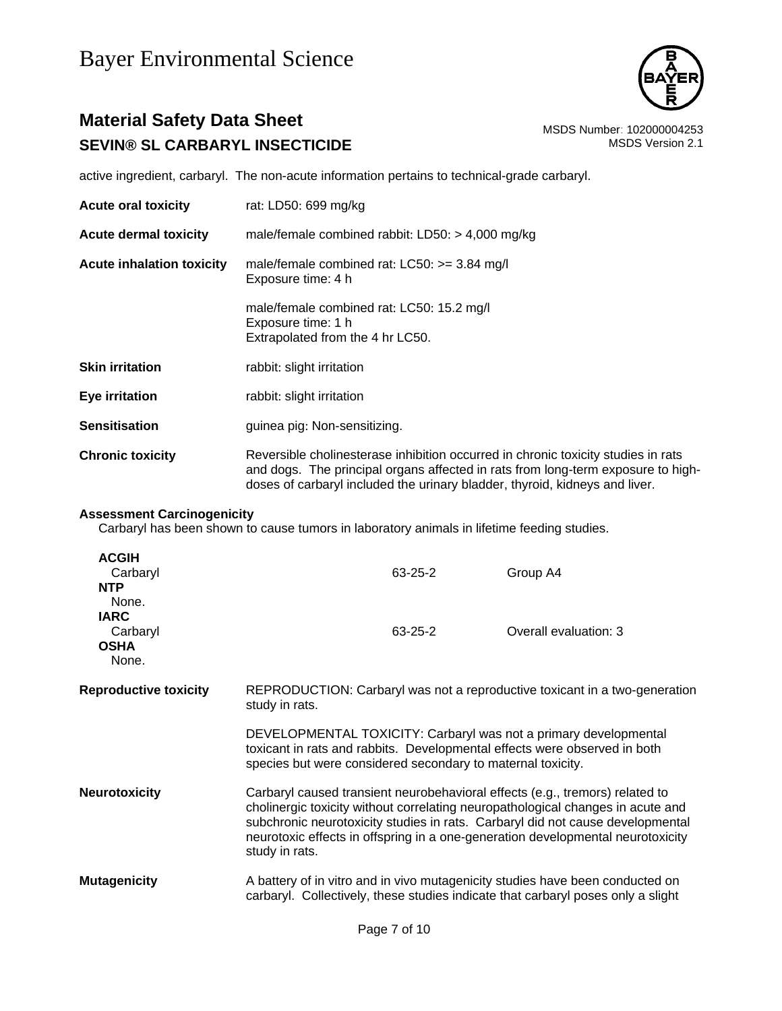

active ingredient, carbaryl. The non-acute information pertains to technical-grade carbaryl.

- **Acute oral toxicity** rat: LD50: 699 mg/kg
- **Acute inhalation toxicity** male/female combined rat: LC50: >= 3.84 mg/l Exposure time: 4 h

**Acute dermal toxicity** male/female combined rabbit: LD50: > 4,000 mg/kg

male/female combined rat: LC50: 15.2 mg/l Exposure time: 1 h Extrapolated from the 4 hr LC50.

- **Skin irritation** rabbit: slight irritation
- **Eye irritation** rabbit: slight irritation
- **Sensitisation guinea pig: Non-sensitizing.**
- **Chronic toxicity Reversible cholinesterase inhibition occurred in chronic toxicity studies in rats** and dogs. The principal organs affected in rats from long-term exposure to highdoses of carbaryl included the urinary bladder, thyroid, kidneys and liver.

#### **Assessment Carcinogenicity**

Carbaryl has been shown to cause tumors in laboratory animals in lifetime feeding studies.

| <b>ACGIH</b><br>Carbaryl<br><b>NTP</b>                   |                                                                                              | $63 - 25 - 2$ | Group A4                                                                                                                                                                                                                                                                                                                             |
|----------------------------------------------------------|----------------------------------------------------------------------------------------------|---------------|--------------------------------------------------------------------------------------------------------------------------------------------------------------------------------------------------------------------------------------------------------------------------------------------------------------------------------------|
| None.<br><b>IARC</b><br>Carbaryl<br><b>OSHA</b><br>None. |                                                                                              | 63-25-2       | Overall evaluation: 3                                                                                                                                                                                                                                                                                                                |
| <b>Reproductive toxicity</b>                             | REPRODUCTION: Carbaryl was not a reproductive toxicant in a two-generation<br>study in rats. |               |                                                                                                                                                                                                                                                                                                                                      |
|                                                          | species but were considered secondary to maternal toxicity.                                  |               | DEVELOPMENTAL TOXICITY: Carbaryl was not a primary developmental<br>toxicant in rats and rabbits. Developmental effects were observed in both                                                                                                                                                                                        |
| Neurotoxicity                                            | study in rats.                                                                               |               | Carbaryl caused transient neurobehavioral effects (e.g., tremors) related to<br>cholinergic toxicity without correlating neuropathological changes in acute and<br>subchronic neurotoxicity studies in rats. Carbaryl did not cause developmental<br>neurotoxic effects in offspring in a one-generation developmental neurotoxicity |
| <b>Mutagenicity</b>                                      |                                                                                              |               | A battery of in vitro and in vivo mutagenicity studies have been conducted on<br>carbaryl. Collectively, these studies indicate that carbaryl poses only a slight                                                                                                                                                                    |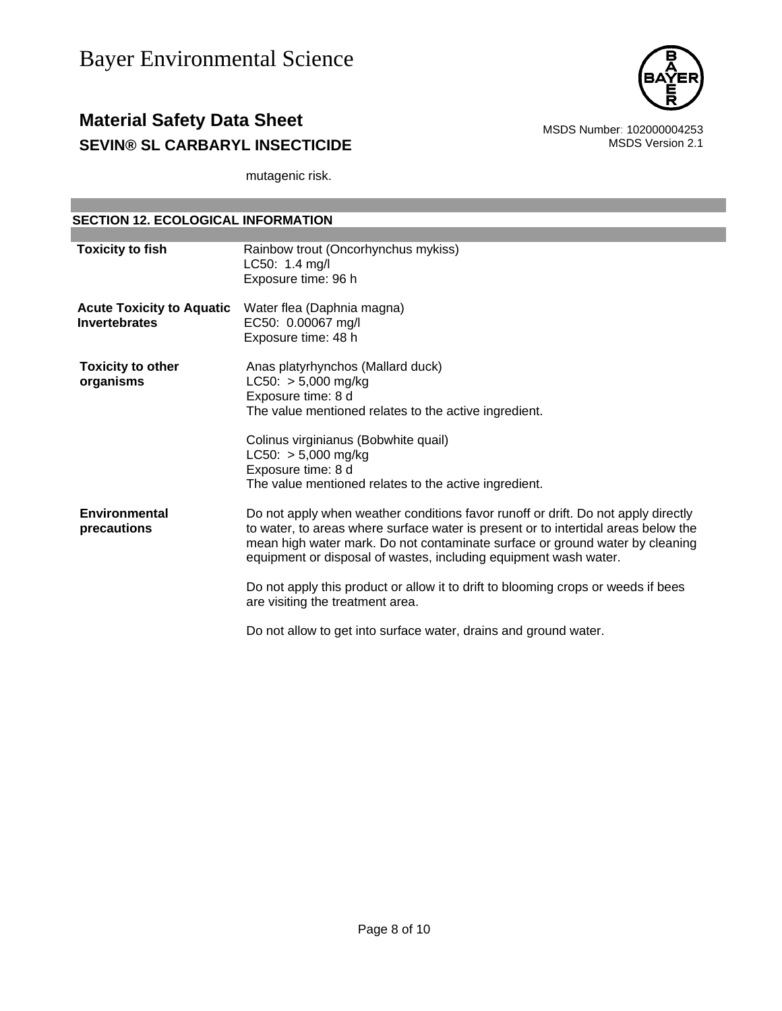

mutagenic risk.

| <b>SECTION 12. ECOLOGICAL INFORMATION</b>                                                                                                                                                                                                                                                                                                                                                                                                                                                                                |  |  |
|--------------------------------------------------------------------------------------------------------------------------------------------------------------------------------------------------------------------------------------------------------------------------------------------------------------------------------------------------------------------------------------------------------------------------------------------------------------------------------------------------------------------------|--|--|
|                                                                                                                                                                                                                                                                                                                                                                                                                                                                                                                          |  |  |
| Rainbow trout (Oncorhynchus mykiss)<br>LC50: 1.4 mg/l<br>Exposure time: 96 h                                                                                                                                                                                                                                                                                                                                                                                                                                             |  |  |
| Water flea (Daphnia magna)<br>EC50: 0.00067 mg/l<br>Exposure time: 48 h                                                                                                                                                                                                                                                                                                                                                                                                                                                  |  |  |
| Anas platyrhynchos (Mallard duck)<br>$LC50: > 5,000$ mg/kg<br>Exposure time: 8 d<br>The value mentioned relates to the active ingredient.<br>Colinus virginianus (Bobwhite quail)<br>$LC50: > 5,000$ mg/kg<br>Exposure time: 8 d<br>The value mentioned relates to the active ingredient.                                                                                                                                                                                                                                |  |  |
| Do not apply when weather conditions favor runoff or drift. Do not apply directly<br>to water, to areas where surface water is present or to intertidal areas below the<br>mean high water mark. Do not contaminate surface or ground water by cleaning<br>equipment or disposal of wastes, including equipment wash water.<br>Do not apply this product or allow it to drift to blooming crops or weeds if bees<br>are visiting the treatment area.<br>Do not allow to get into surface water, drains and ground water. |  |  |
|                                                                                                                                                                                                                                                                                                                                                                                                                                                                                                                          |  |  |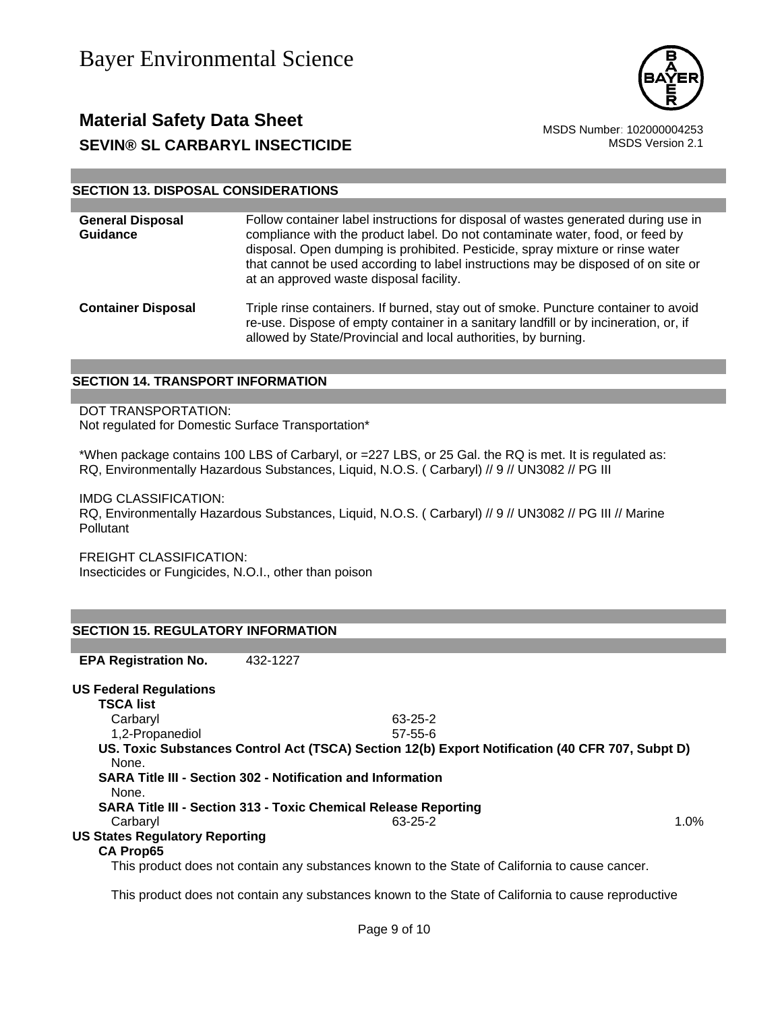

#### **SECTION 13. DISPOSAL CONSIDERATIONS**

| <b>General Disposal</b><br><b>Guidance</b> | Follow container label instructions for disposal of wastes generated during use in<br>compliance with the product label. Do not contaminate water, food, or feed by<br>disposal. Open dumping is prohibited. Pesticide, spray mixture or rinse water<br>that cannot be used according to label instructions may be disposed of on site or<br>at an approved waste disposal facility. |
|--------------------------------------------|--------------------------------------------------------------------------------------------------------------------------------------------------------------------------------------------------------------------------------------------------------------------------------------------------------------------------------------------------------------------------------------|
| <b>Container Disposal</b>                  | Triple rinse containers. If burned, stay out of smoke. Puncture container to avoid<br>re-use. Dispose of empty container in a sanitary landfill or by incineration, or, if<br>allowed by State/Provincial and local authorities, by burning.                                                                                                                                         |

#### **SECTION 14. TRANSPORT INFORMATION**

#### DOT TRANSPORTATION:

Not regulated for Domestic Surface Transportation\*

\*When package contains 100 LBS of Carbaryl, or =227 LBS, or 25 Gal. the RQ is met. It is regulated as: RQ, Environmentally Hazardous Substances, Liquid, N.O.S. ( Carbaryl) // 9 // UN3082 // PG III

IMDG CLASSIFICATION:

RQ, Environmentally Hazardous Substances, Liquid, N.O.S. ( Carbaryl) // 9 // UN3082 // PG III // Marine Pollutant

FREIGHT CLASSIFICATION:

Insecticides or Fungicides, N.O.I., other than poison

| <b>SECTION 15. REGULATORY INFORMATION</b>                   |          |                                                                                                |                                                                                                     |      |
|-------------------------------------------------------------|----------|------------------------------------------------------------------------------------------------|-----------------------------------------------------------------------------------------------------|------|
|                                                             |          |                                                                                                |                                                                                                     |      |
| <b>EPA Registration No.</b>                                 | 432-1227 |                                                                                                |                                                                                                     |      |
| <b>US Federal Regulations</b>                               |          |                                                                                                |                                                                                                     |      |
| <b>TSCA list</b>                                            |          |                                                                                                |                                                                                                     |      |
| Carbaryl                                                    |          | $63 - 25 - 2$                                                                                  |                                                                                                     |      |
| 1,2-Propanediol                                             |          | $57 - 55 - 6$                                                                                  |                                                                                                     |      |
| None.                                                       |          |                                                                                                | US. Toxic Substances Control Act (TSCA) Section 12(b) Export Notification (40 CFR 707, Subpt D)     |      |
| SARA Title III - Section 302 - Notification and Information |          |                                                                                                |                                                                                                     |      |
| None.                                                       |          |                                                                                                |                                                                                                     |      |
|                                                             |          | <b>SARA Title III - Section 313 - Toxic Chemical Release Reporting</b>                         |                                                                                                     |      |
| Carbaryl                                                    |          | 63-25-2                                                                                        |                                                                                                     | 1.0% |
| <b>US States Regulatory Reporting</b>                       |          |                                                                                                |                                                                                                     |      |
| <b>CA Prop65</b>                                            |          |                                                                                                |                                                                                                     |      |
|                                                             |          | This product does not contain any substances known to the State of California to cause cancer. |                                                                                                     |      |
|                                                             |          |                                                                                                | This product does not contain any substances known to the State of California to cause reproductive |      |